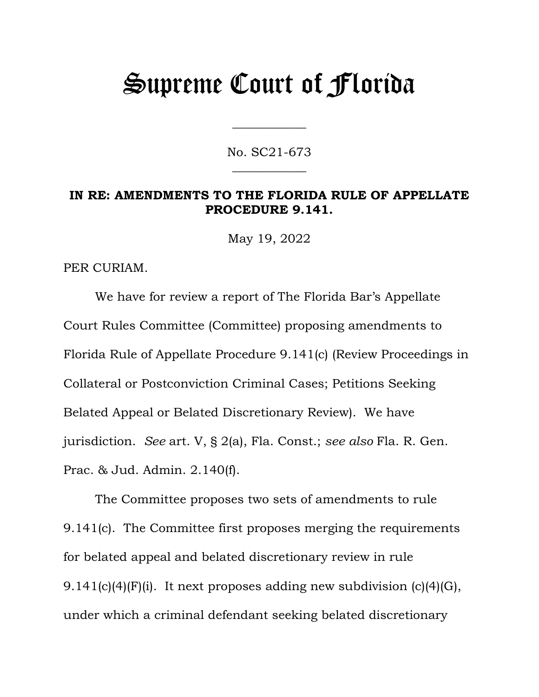# Supreme Court of Florida

No. SC21-673  $\overline{\phantom{a}}$ 

 $\overline{\phantom{a}}$ 

#### **IN RE: AMENDMENTS TO THE FLORIDA RULE OF APPELLATE PROCEDURE 9.141.**

May 19, 2022

PER CURIAM.

We have for review a report of The Florida Bar's Appellate Court Rules Committee (Committee) proposing amendments to Florida Rule of Appellate Procedure 9.141(c) (Review Proceedings in Collateral or Postconviction Criminal Cases; Petitions Seeking Belated Appeal or Belated Discretionary Review). We have jurisdiction. *See* art. V, § 2(a), Fla. Const.; *see also* Fla. R. Gen. Prac. & Jud. Admin. 2.140(f).

The Committee proposes two sets of amendments to rule 9.141(c). The Committee first proposes merging the requirements for belated appeal and belated discretionary review in rule 9.141(c)(4)(F)(i). It next proposes adding new subdivision  $(c)(4)(G)$ , under which a criminal defendant seeking belated discretionary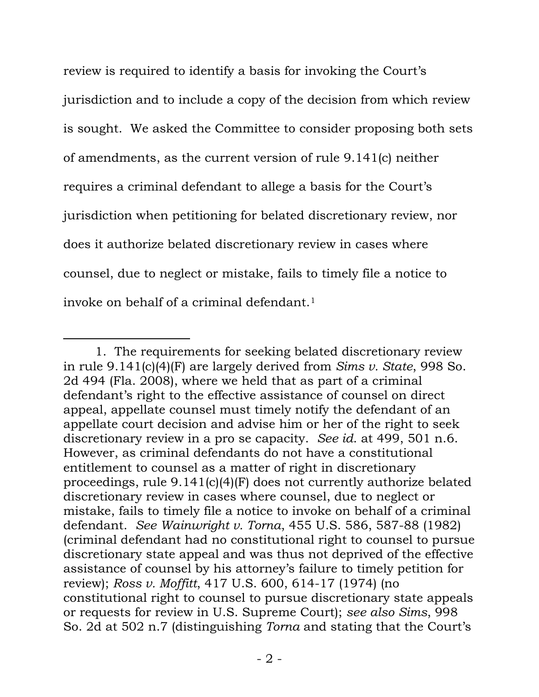review is required to identify a basis for invoking the Court's jurisdiction and to include a copy of the decision from which review is sought. We asked the Committee to consider proposing both sets of amendments, as the current version of rule 9.141(c) neither requires a criminal defendant to allege a basis for the Court's jurisdiction when petitioning for belated discretionary review, nor does it authorize belated discretionary review in cases where counsel, due to neglect or mistake, fails to timely file a notice to invoke on behalf of a criminal defendant.<sup>[1](#page-1-0)</sup>

<span id="page-1-0"></span><sup>1.</sup> The requirements for seeking belated discretionary review in rule 9.141(c)(4)(F) are largely derived from *Sims v. State*, 998 So. 2d 494 (Fla. 2008), where we held that as part of a criminal defendant's right to the effective assistance of counsel on direct appeal, appellate counsel must timely notify the defendant of an appellate court decision and advise him or her of the right to seek discretionary review in a pro se capacity. *See id*. at 499, 501 n.6. However, as criminal defendants do not have a constitutional entitlement to counsel as a matter of right in discretionary proceedings, rule 9.141(c)(4)(F) does not currently authorize belated discretionary review in cases where counsel, due to neglect or mistake, fails to timely file a notice to invoke on behalf of a criminal defendant. *See Wainwright v. Torna*, 455 U.S. 586, 587-88 (1982) (criminal defendant had no constitutional right to counsel to pursue discretionary state appeal and was thus not deprived of the effective assistance of counsel by his attorney's failure to timely petition for review); *Ross v. Moffitt*, 417 U.S. 600, 614-17 (1974) (no constitutional right to counsel to pursue discretionary state appeals or requests for review in U.S. Supreme Court); *see also Sims*, 998 So. 2d at 502 n.7 (distinguishing *Torna* and stating that the Court's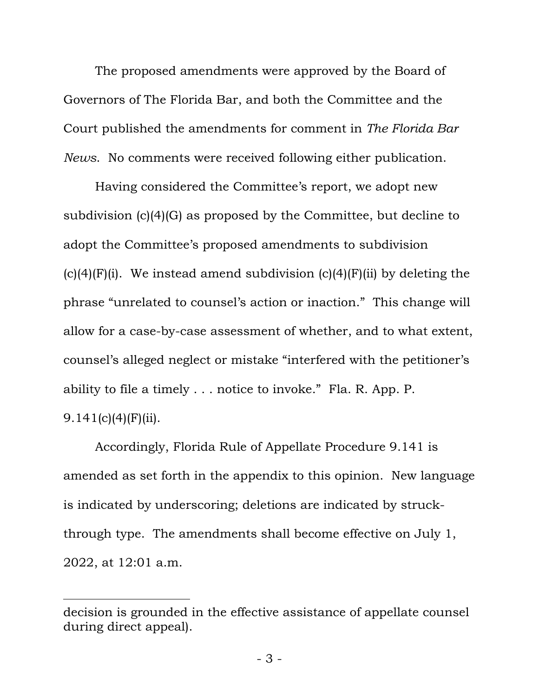The proposed amendments were approved by the Board of Governors of The Florida Bar, and both the Committee and the Court published the amendments for comment in *The Florida Bar News*. No comments were received following either publication.

Having considered the Committee's report, we adopt new subdivision (c)(4)(G) as proposed by the Committee, but decline to adopt the Committee's proposed amendments to subdivision  $(c)(4)(F)(i)$ . We instead amend subdivision  $(c)(4)(F)(ii)$  by deleting the phrase "unrelated to counsel's action or inaction." This change will allow for a case-by-case assessment of whether, and to what extent, counsel's alleged neglect or mistake "interfered with the petitioner's ability to file a timely . . . notice to invoke." Fla. R. App. P.  $9.141(c)(4)(F)(ii)$ .

Accordingly, Florida Rule of Appellate Procedure 9.141 is amended as set forth in the appendix to this opinion. New language is indicated by underscoring; deletions are indicated by struckthrough type. The amendments shall become effective on July 1, 2022, at 12:01 a.m.

decision is grounded in the effective assistance of appellate counsel during direct appeal).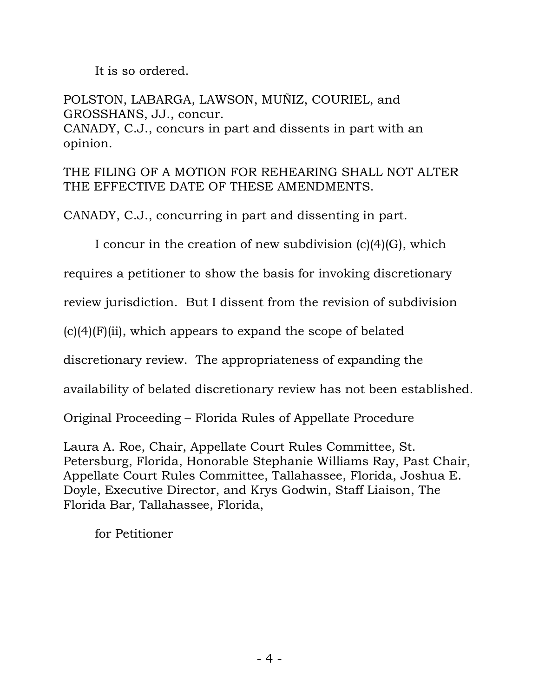It is so ordered.

POLSTON, LABARGA, LAWSON, MUÑIZ, COURIEL, and GROSSHANS, JJ., concur. CANADY, C.J., concurs in part and dissents in part with an opinion.

#### THE FILING OF A MOTION FOR REHEARING SHALL NOT ALTER THE EFFECTIVE DATE OF THESE AMENDMENTS.

CANADY, C.J., concurring in part and dissenting in part.

I concur in the creation of new subdivision (c)(4)(G), which

requires a petitioner to show the basis for invoking discretionary

review jurisdiction. But I dissent from the revision of subdivision

 $(c)(4)(F)(ii)$ , which appears to expand the scope of belated

discretionary review. The appropriateness of expanding the

availability of belated discretionary review has not been established.

Original Proceeding – Florida Rules of Appellate Procedure

Laura A. Roe, Chair, Appellate Court Rules Committee, St. Petersburg, Florida, Honorable Stephanie Williams Ray, Past Chair, Appellate Court Rules Committee, Tallahassee, Florida, Joshua E. Doyle, Executive Director, and Krys Godwin, Staff Liaison, The Florida Bar, Tallahassee, Florida,

for Petitioner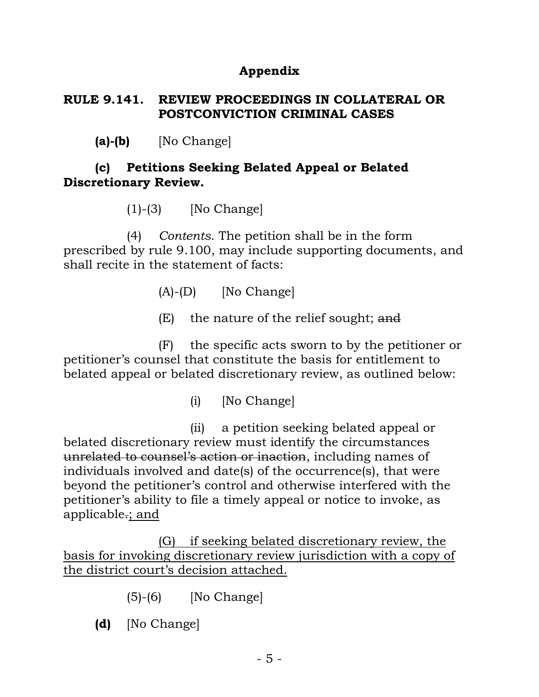### **Appendix**

#### **RULE 9.141. REVIEW PROCEEDINGS IN COLLATERAL OR POSTCONVICTION CRIMINAL CASES**

**(a)-(b)** [No Change]

#### **(c) Petitions Seeking Belated Appeal or Belated Discretionary Review.**

 $(1)$ - $(3)$  [No Change]

(4) *Contents*. The petition shall be in the form prescribed by rule 9.100, may include supporting documents, and shall recite in the statement of facts:

- $(A)$ - $(D)$  [No Change]
- (E) the nature of the relief sought; and

(F) the specific acts sworn to by the petitioner or petitioner's counsel that constitute the basis for entitlement to belated appeal or belated discretionary review, as outlined below:

(i) [No Change]

(ii) a petition seeking belated appeal or belated discretionary review must identify the circumstances unrelated to counsel's action or inaction, including names of individuals involved and date(s) of the occurrence(s), that were beyond the petitioner's control and otherwise interfered with the petitioner's ability to file a timely appeal or notice to invoke, as applicable.; and

(G) if seeking belated discretionary review, the basis for invoking discretionary review jurisdiction with a copy of the district court's decision attached.

- (5)-(6) [No Change]
- **(d)** [No Change]